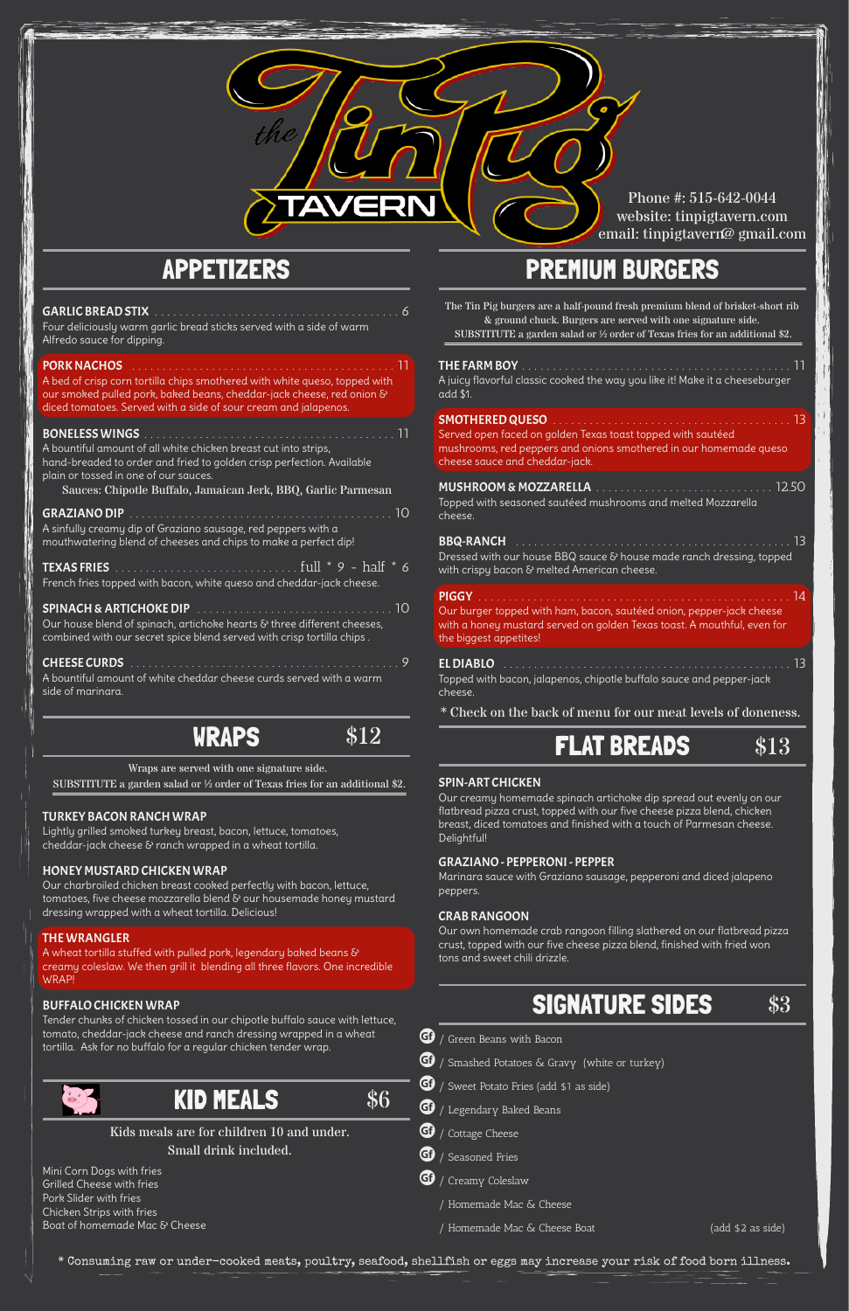### APPETIZERS

#### GARLIC BREAD STIX . . . . . . . . . . . . . . . . . . . . . . . . . . . . . . . . . . . . . . . . 6

Four deliciously warm garlic bread sticks served with a side of warm Alfredo sauce for dipping.

#### PORK NACHOS

A bed of crisp corn tortilla chips smothered with white queso, topped with our smoked pulled pork, baked beans, cheddar-jack cheese, red onion & diced tomatoes. Served with a side of sour cream and jalapenos.

#### BONELESS WINGS . . . . . . . . . . . . . . . . . . . . . . . . . . . . . . . . . . . . . . . . . 11

A bountiful amount of all white chicken breast cut into strips, hand-breaded to order and fried to golden crisp perfection. Available plain or tossed in one of our sauces.

Our house blend of spinach, artichoke hearts & three different cheeses, combined with our secret spice blend served with crisp tortilla chips .

| A sinfully creamy dip of Graziano sausage, red peppers with a<br>mouthwatering blend of cheeses and chips to make a perfect dip! |  |
|----------------------------------------------------------------------------------------------------------------------------------|--|
| French fries topped with bacon, white queso and cheddar-jack cheese.                                                             |  |
|                                                                                                                                  |  |

A wheat tortilla stuffed with pulled pork, legendary baked beans & creamy coleslaw. We then grill it blending all three flavors. One incredible WRAP!

| A bountiful amount of white cheddar cheese curds served with a warm- |  |
|----------------------------------------------------------------------|--|
| side of marinara.                                                    |  |

BBQ-RANCH . . . . . . . . . . . . . . . . . . . . . . . . . . . . . . . . . . . . . . . . . . . . . 13 Dressed with our house BBQ sauce & house made ranch dressing, topped with crispy bacon & melted American cheese.

# WRAPS

#### TURKEY BACON RANCH WRAP

Lightly grilled smoked turkey breast, bacon, lettuce, tomatoes, cheddar-jack cheese & ranch wrapped in a wheat tortilla.

#### HONEY MUSTARD CHICKEN WRAP

Our charbroiled chicken breast cooked perfectly with bacon, lettuce, tomatoes, five cheese mozzarella blend & our housemade honey mustard dressing wrapped with a wheat tortilla. Delicious!

#### THE WRANGLER

#### BUFFALO CHICKEN WRAP

Tender chunks of chicken tossed in our chipotle buffalo sauce with lettuce, tomato, cheddar-jack cheese and ranch dressing wrapped in a wheat tortilla. Ask for no buffalo for a regular chicken tender wrap.



- $\bigoplus$  / Smashed Potatoes & Gravy (white or turkey)
- $\bigoplus$  / Sweet Potato Fries (add \$1 as side)
- $\bigoplus$  / Legendary Baked Beans
- **G** $\theta$  / Cottage Cheese
- $\bigoplus$  / Seasoned Fries
- $\bigoplus$  / Creamy Coleslaw
	- / Homemade Mac & Cheese
	- / Homemade Mac & Cheese Boat (add \$2 as side)

KID MEALS

Mini Corn Dogs with fries Grilled Cheese with fries Pork Slider with fries Chicken Strips with fries Boat of homemade Mac & Cheese

### PREMIUM BURGERS

#### THE FARM BOY . . . . . . . . . . . . . . . . . . . . . . . . . . . . . . . . . . . . . . . . . . . . 11

A juicy flavorful classic cooked the way you like it! Make it a cheeseburger add \$1.

#### SMOTHERED QUESO

Served open faced on golden Texas toast topped with sautéed mushrooms, red peppers and onions smothered in our homemade queso cheese sauce and cheddar-jack.

#### MUSHROOM & MOZZARELLA . . . . . . . . . . . . . . . . . . . . . . . . . . . . . 12.50

Topped with seasoned sautéed mushrooms and melted Mozzarella cheese.

### PIGGY . . . . . . . . . . . . . . . . . . . . . . . . . . . . . . . . . . . . . . . . . . . . . . . . . . . 14

Our burger topped with ham, bacon, sautéed onion, pepper-jack cheese with a honey mustard served on golden Texas toast. A mouthful, even for the biggest appetites!

#### EL DIABLO . . . . . . . . . . . . . . . . . . . . . . . . . . . . . . . . . . . . . . . . . . . . . . . 13 Topped with bacon, jalapenos, chipotle buffalo sauce and pepper-jack cheese.

#### SPIN-ART CHICKEN

Our creamy homemade spinach artichoke dip spread out evenly on our flatbread pizza crust, topped with our five cheese pizza blend, chicken breast, diced tomatoes and finished with a touch of Parmesan cheese. Delightful!

#### GRAZIANO - PEPPERONI - PEPPER

Marinara sauce with Graziano sausage, pepperoni and diced jalapeno peppers.

#### CRAB RANGOON

Our own homemade crab rangoon filling slathered on our flatbread pizza crust, topped with our five cheese pizza blend, finished with fried won tons and sweet chili drizzle.

### SIGNATURE SIDES

\* Consuming raw or under-cooked meats, poultry, seafood, shellfish or eggs may increase your risk of food born illness.



Phone #: 515-642-0044 website: tinpigtavern.com email: tinpigtavern@gmail.com

\* Check on the back of menu for our meat levels of doneness.

# $\frac{$12}{2}$  FLAT BREADS  $$13$

Kids meals are for children 10 and under. Small drink included.

Wraps are served with one signature side. SUBSTITUTE a garden salad or ½ order of Texas fries for an additional \$2. The Tin Pig burgers are a half-pound fresh premium blend of brisket-short rib & ground chuck. Burgers are served with one signature side.

SUBSTITUTE a garden salad or ½ order of Texas fries for an additional \$2.



 $\bigoplus$  / Green Beans with Bacon

\$6

Sauces: Chipotle Buffalo, Jamaican Jerk, BBQ, Garlic Parmesan